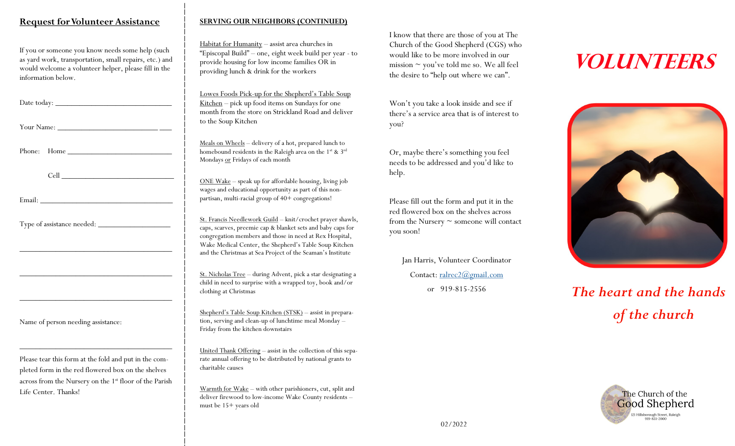#### **Request for Volunteer Assistance**

If you or someone you know needs some help (such as yard work, transportation, small repairs, etc.) and would welcome a volunteer helper, please fill in the information below.

| Date today: |  |  |  |
|-------------|--|--|--|
|             |  |  |  |

Your Name: \_\_\_\_\_\_\_\_\_\_\_\_\_\_\_\_\_\_\_\_\_\_\_\_\_ \_\_\_

Phone: Home

Cell \_\_\_\_\_\_\_\_\_\_\_\_\_\_\_\_\_\_\_\_\_\_\_\_\_\_\_\_

Email:

Type of assistance needed: \_\_\_\_\_\_\_\_\_\_\_\_\_\_\_\_\_\_

Name of person needing assistance:

Please tear this form at the fold and put in the completed form in the red flowered box on the shelves across from the Nursery on the 1<sup>st</sup> floor of the Parish **Request for Volunteer Assistance**<br>
If you or someone you know needs some help (such<br>
as yard work, transportation, small repairs, etc.) and<br>
would welcome a volunteer helper, please fill in the<br>
Date today:<br>
<br>
Dour Name:<br>

\_\_\_\_\_\_\_\_\_\_\_\_\_\_\_\_\_\_\_\_\_\_\_\_\_\_\_\_\_\_\_\_\_\_\_\_\_\_

\_\_\_\_\_\_\_\_\_\_\_\_\_\_\_\_\_\_\_\_\_\_\_\_\_\_\_\_\_\_\_\_\_\_\_\_\_\_

\_\_\_\_\_\_\_\_\_\_\_\_\_\_\_\_\_\_\_\_\_\_\_\_\_\_\_\_\_\_\_\_\_\_\_\_\_\_

\_\_\_\_\_\_\_\_\_\_\_\_\_\_\_\_\_\_\_\_\_\_\_\_\_\_\_\_\_\_\_\_\_\_\_\_\_\_

#### **SERVING OUR NEIGHBORS (CONTINUED)**

Habitat for Humanity – assist area churches in "Episcopal Build" – one, eight week build per year - to provide housing for low income families OR in providing lunch & drink for the workers

Lowes Foods Pick-up for the Shepherd's Table Soup Kitchen – pick up food items on Sundays for one month from the store on Strickland Road and deliver to the Soup Kitchen

Meals on Wheels – delivery of a hot, prepared lunch to homebound residents in the Raleigh area on the 1<sup>st</sup> & 3<sup>rd</sup> Mondays or Fridays of each month

ONE Wake – speak up for affordable housing, living job wages and educational opportunity as part of this nonpartisan, multi-racial group of 40+ congregations!

St. Francis Needlework Guild – knit/crochet prayer shawls, caps, scarves, preemie cap & blanket sets and baby caps for congregation members and those in need at Rex Hospital, Wake Medical Center, the Shepherd's Table Soup Kitchen and the Christmas at Sea Project of the Seaman's Institute

St. Nicholas Tree – during Advent, pick a star designating a child in need to surprise with a wrapped toy, book and/or clothing at Christmas

Shepherd's Table Soup Kitchen (STSK) – assist in preparation, serving and clean-up of lunchtime meal Monday – Friday from the kitchen downstairs

United Thank Offering – assist in the collection of this separate annual offering to be distributed by national grants to charitable causes

Warmth for Wake – with other parishioners, cut, split and deliver firewood to low-income Wake County residents – must be 15+ years old

I know that there are those of you at The Church of the Good Shepherd (CGS) who would like to be more involved in our mission  $\sim$  you've told me so. We all feel the desire to "help out where we can".

Won't you take a look inside and see if there's a service area that is of interest to you?

Or, maybe there's something you feel needs to be addressed and you'd like to help.

Please fill out the form and put it in the red flowered box on the shelves across from the Nursery ~ someone will contact you soon!

Jan Harris, Volunteer Coordinator Contact: [ralrec2@gmail.com](mailto:ralrec2@gmail.com) or 919-815-2556

# **VOLUNTEERS**



# *The heart and the hands of the church*